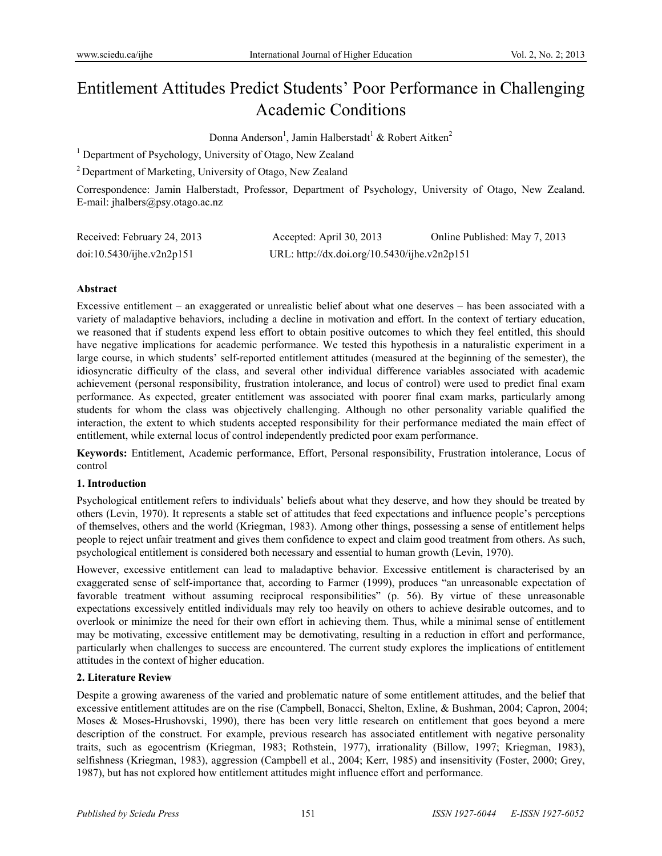# Entitlement Attitudes Predict Students' Poor Performance in Challenging Academic Conditions

Donna Anderson<sup>1</sup>, Jamin Halberstadt<sup>1</sup> & Robert Aitken<sup>2</sup>

<sup>1</sup> Department of Psychology, University of Otago, New Zealand

2 Department of Marketing, University of Otago, New Zealand

Correspondence: Jamin Halberstadt, Professor, Department of Psychology, University of Otago, New Zealand. E-mail: jhalbers@psy.otago.ac.nz

| Received: February 24, 2013 | Accepted: April 30, 2013                     | Online Published: May 7, 2013 |
|-----------------------------|----------------------------------------------|-------------------------------|
| doi:10.5430/ijhe.v2n2p151   | URL: http://dx.doi.org/10.5430/ijhe.v2n2p151 |                               |

#### **Abstract**

Excessive entitlement – an exaggerated or unrealistic belief about what one deserves – has been associated with a variety of maladaptive behaviors, including a decline in motivation and effort. In the context of tertiary education, we reasoned that if students expend less effort to obtain positive outcomes to which they feel entitled, this should have negative implications for academic performance. We tested this hypothesis in a naturalistic experiment in a large course, in which students' self-reported entitlement attitudes (measured at the beginning of the semester), the idiosyncratic difficulty of the class, and several other individual difference variables associated with academic achievement (personal responsibility, frustration intolerance, and locus of control) were used to predict final exam performance. As expected, greater entitlement was associated with poorer final exam marks, particularly among students for whom the class was objectively challenging. Although no other personality variable qualified the interaction, the extent to which students accepted responsibility for their performance mediated the main effect of entitlement, while external locus of control independently predicted poor exam performance.

**Keywords:** Entitlement, Academic performance, Effort, Personal responsibility, Frustration intolerance, Locus of control

## **1. Introduction**

Psychological entitlement refers to individuals' beliefs about what they deserve, and how they should be treated by others (Levin, 1970). It represents a stable set of attitudes that feed expectations and influence people's perceptions of themselves, others and the world (Kriegman, 1983). Among other things, possessing a sense of entitlement helps people to reject unfair treatment and gives them confidence to expect and claim good treatment from others. As such, psychological entitlement is considered both necessary and essential to human growth (Levin, 1970).

However, excessive entitlement can lead to maladaptive behavior. Excessive entitlement is characterised by an exaggerated sense of self-importance that, according to Farmer (1999), produces "an unreasonable expectation of favorable treatment without assuming reciprocal responsibilities" (p. 56). By virtue of these unreasonable expectations excessively entitled individuals may rely too heavily on others to achieve desirable outcomes, and to overlook or minimize the need for their own effort in achieving them. Thus, while a minimal sense of entitlement may be motivating, excessive entitlement may be demotivating, resulting in a reduction in effort and performance, particularly when challenges to success are encountered. The current study explores the implications of entitlement attitudes in the context of higher education.

## **2. Literature Review**

Despite a growing awareness of the varied and problematic nature of some entitlement attitudes, and the belief that excessive entitlement attitudes are on the rise (Campbell, Bonacci, Shelton, Exline, & Bushman, 2004; Capron, 2004; Moses & Moses-Hrushovski, 1990), there has been very little research on entitlement that goes beyond a mere description of the construct. For example, previous research has associated entitlement with negative personality traits, such as egocentrism (Kriegman, 1983; Rothstein, 1977), irrationality (Billow, 1997; Kriegman, 1983), selfishness (Kriegman, 1983), aggression (Campbell et al., 2004; Kerr, 1985) and insensitivity (Foster, 2000; Grey, 1987), but has not explored how entitlement attitudes might influence effort and performance.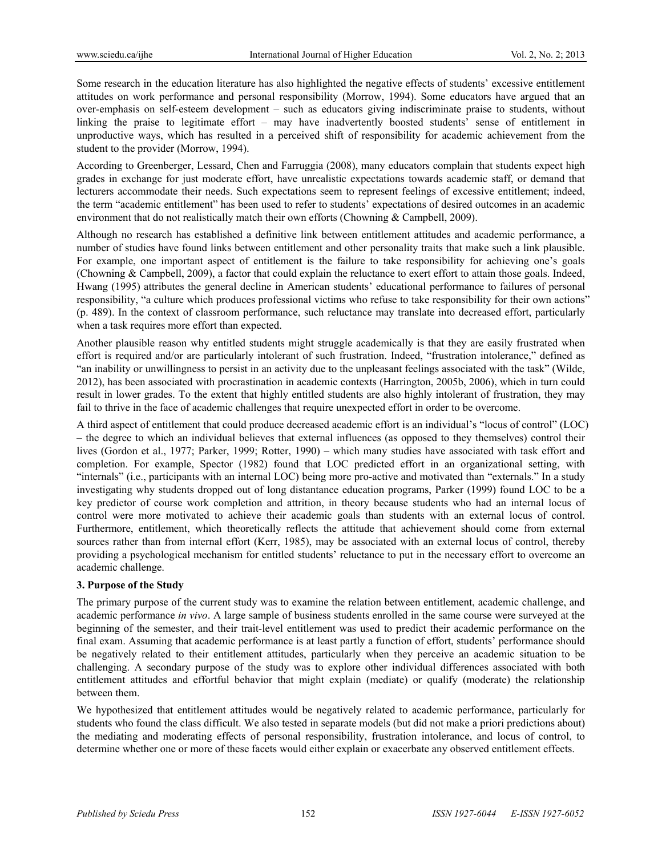Some research in the education literature has also highlighted the negative effects of students' excessive entitlement attitudes on work performance and personal responsibility (Morrow, 1994). Some educators have argued that an over-emphasis on self-esteem development – such as educators giving indiscriminate praise to students, without linking the praise to legitimate effort – may have inadvertently boosted students' sense of entitlement in unproductive ways, which has resulted in a perceived shift of responsibility for academic achievement from the student to the provider (Morrow, 1994).

According to Greenberger, Lessard, Chen and Farruggia (2008), many educators complain that students expect high grades in exchange for just moderate effort, have unrealistic expectations towards academic staff, or demand that lecturers accommodate their needs. Such expectations seem to represent feelings of excessive entitlement; indeed, the term "academic entitlement" has been used to refer to students' expectations of desired outcomes in an academic environment that do not realistically match their own efforts (Chowning & Campbell, 2009).

Although no research has established a definitive link between entitlement attitudes and academic performance, a number of studies have found links between entitlement and other personality traits that make such a link plausible. For example, one important aspect of entitlement is the failure to take responsibility for achieving one's goals (Chowning & Campbell, 2009), a factor that could explain the reluctance to exert effort to attain those goals. Indeed, Hwang (1995) attributes the general decline in American students' educational performance to failures of personal responsibility, "a culture which produces professional victims who refuse to take responsibility for their own actions" (p. 489). In the context of classroom performance, such reluctance may translate into decreased effort, particularly when a task requires more effort than expected.

Another plausible reason why entitled students might struggle academically is that they are easily frustrated when effort is required and/or are particularly intolerant of such frustration. Indeed, "frustration intolerance," defined as "an inability or unwillingness to persist in an activity due to the unpleasant feelings associated with the task" (Wilde, 2012), has been associated with procrastination in academic contexts (Harrington, 2005b, 2006), which in turn could result in lower grades. To the extent that highly entitled students are also highly intolerant of frustration, they may fail to thrive in the face of academic challenges that require unexpected effort in order to be overcome.

A third aspect of entitlement that could produce decreased academic effort is an individual's "locus of control" (LOC) – the degree to which an individual believes that external influences (as opposed to they themselves) control their lives (Gordon et al., 1977; Parker, 1999; Rotter, 1990) – which many studies have associated with task effort and completion. For example, Spector (1982) found that LOC predicted effort in an organizational setting, with "internals" (i.e., participants with an internal LOC) being more pro-active and motivated than "externals." In a study investigating why students dropped out of long distantance education programs, Parker (1999) found LOC to be a key predictor of course work completion and attrition, in theory because students who had an internal locus of control were more motivated to achieve their academic goals than students with an external locus of control. Furthermore, entitlement, which theoretically reflects the attitude that achievement should come from external sources rather than from internal effort (Kerr, 1985), may be associated with an external locus of control, thereby providing a psychological mechanism for entitled students' reluctance to put in the necessary effort to overcome an academic challenge.

## **3. Purpose of the Study**

The primary purpose of the current study was to examine the relation between entitlement, academic challenge, and academic performance *in vivo*. A large sample of business students enrolled in the same course were surveyed at the beginning of the semester, and their trait-level entitlement was used to predict their academic performance on the final exam. Assuming that academic performance is at least partly a function of effort, students' performance should be negatively related to their entitlement attitudes, particularly when they perceive an academic situation to be challenging. A secondary purpose of the study was to explore other individual differences associated with both entitlement attitudes and effortful behavior that might explain (mediate) or qualify (moderate) the relationship between them.

We hypothesized that entitlement attitudes would be negatively related to academic performance, particularly for students who found the class difficult. We also tested in separate models (but did not make a priori predictions about) the mediating and moderating effects of personal responsibility, frustration intolerance, and locus of control, to determine whether one or more of these facets would either explain or exacerbate any observed entitlement effects.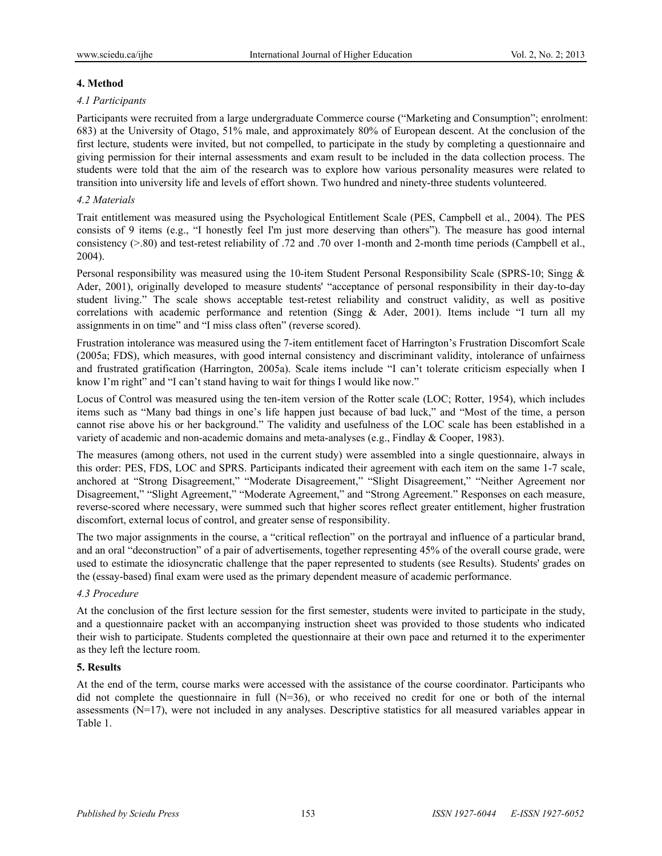#### **4. Method**

#### *4.1 Participants*

Participants were recruited from a large undergraduate Commerce course ("Marketing and Consumption"; enrolment: 683) at the University of Otago, 51% male, and approximately 80% of European descent. At the conclusion of the first lecture, students were invited, but not compelled, to participate in the study by completing a questionnaire and giving permission for their internal assessments and exam result to be included in the data collection process. The students were told that the aim of the research was to explore how various personality measures were related to transition into university life and levels of effort shown. Two hundred and ninety-three students volunteered.

## *4.2 Materials*

Trait entitlement was measured using the Psychological Entitlement Scale (PES, Campbell et al., 2004). The PES consists of 9 items (e.g., "I honestly feel I'm just more deserving than others"). The measure has good internal consistency (>.80) and test-retest reliability of .72 and .70 over 1-month and 2-month time periods (Campbell et al., 2004).

Personal responsibility was measured using the 10-item Student Personal Responsibility Scale (SPRS-10; Singg & Ader, 2001), originally developed to measure students' "acceptance of personal responsibility in their day-to-day student living." The scale shows acceptable test-retest reliability and construct validity, as well as positive correlations with academic performance and retention (Singg & Ader, 2001). Items include "I turn all my assignments in on time" and "I miss class often" (reverse scored).

Frustration intolerance was measured using the 7-item entitlement facet of Harrington's Frustration Discomfort Scale (2005a; FDS), which measures, with good internal consistency and discriminant validity, intolerance of unfairness and frustrated gratification (Harrington, 2005a). Scale items include "I can't tolerate criticism especially when I know I'm right" and "I can't stand having to wait for things I would like now."

Locus of Control was measured using the ten-item version of the Rotter scale (LOC; Rotter, 1954), which includes items such as "Many bad things in one's life happen just because of bad luck," and "Most of the time, a person cannot rise above his or her background." The validity and usefulness of the LOC scale has been established in a variety of academic and non-academic domains and meta-analyses (e.g., Findlay & Cooper, 1983).

The measures (among others, not used in the current study) were assembled into a single questionnaire, always in this order: PES, FDS, LOC and SPRS. Participants indicated their agreement with each item on the same 1-7 scale, anchored at "Strong Disagreement," "Moderate Disagreement," "Slight Disagreement," "Neither Agreement nor Disagreement," "Slight Agreement," "Moderate Agreement," and "Strong Agreement." Responses on each measure, reverse-scored where necessary, were summed such that higher scores reflect greater entitlement, higher frustration discomfort, external locus of control, and greater sense of responsibility.

The two major assignments in the course, a "critical reflection" on the portrayal and influence of a particular brand, and an oral "deconstruction" of a pair of advertisements, together representing 45% of the overall course grade, were used to estimate the idiosyncratic challenge that the paper represented to students (see Results). Students' grades on the (essay-based) final exam were used as the primary dependent measure of academic performance.

## *4.3 Procedure*

At the conclusion of the first lecture session for the first semester, students were invited to participate in the study, and a questionnaire packet with an accompanying instruction sheet was provided to those students who indicated their wish to participate. Students completed the questionnaire at their own pace and returned it to the experimenter as they left the lecture room.

## **5. Results**

At the end of the term, course marks were accessed with the assistance of the course coordinator. Participants who did not complete the questionnaire in full (N=36), or who received no credit for one or both of the internal assessments (N=17), were not included in any analyses. Descriptive statistics for all measured variables appear in Table 1.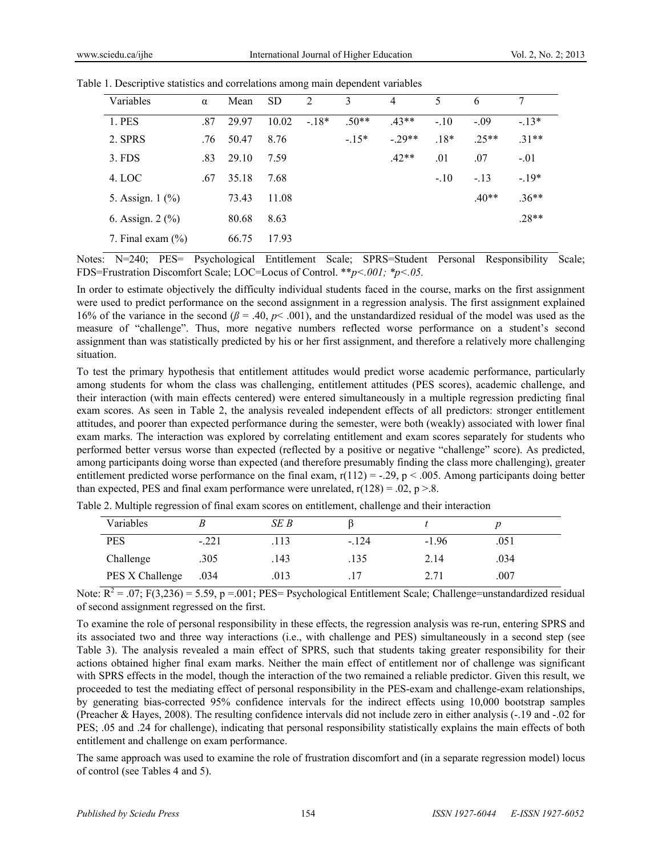| Variables             | $\alpha$ | Mean  | <b>SD</b> | 2      | 3       | 4       | 5      | 6       | 7       |
|-----------------------|----------|-------|-----------|--------|---------|---------|--------|---------|---------|
| 1. PES                | .87      | 29.97 | 10.02     | $-18*$ | $.50**$ | $43**$  | $-.10$ | $-.09$  | $-13*$  |
| 2. SPRS               | .76      | 50.47 | 8.76      |        | $-15*$  | $-29**$ | $.18*$ | $.25**$ | $.31**$ |
| $3.$ FDS              | .83      | 29.10 | 7.59      |        |         | $.42**$ | .01    | .07     | $-.01$  |
| 4. LOC                | .67      | 35.18 | 7.68      |        |         |         | $-.10$ | $-.13$  | $-.19*$ |
| 5. Assign. 1 (%)      |          | 73.43 | 11.08     |        |         |         |        | $.40**$ | $.36**$ |
| 6. Assign. $2\,(%)$   |          | 80.68 | 8.63      |        |         |         |        |         | $.28**$ |
| 7. Final exam $(\% )$ |          | 66.75 | 17.93     |        |         |         |        |         |         |

Table 1. Descriptive statistics and correlations among main dependent variables

Notes: N=240; PES= Psychological Entitlement Scale; SPRS=Student Personal Responsibility Scale; FDS=Frustration Discomfort Scale; LOC=Locus of Control. \*\**p<.001; \*p<.05.* 

In order to estimate objectively the difficulty individual students faced in the course, marks on the first assignment were used to predict performance on the second assignment in a regression analysis. The first assignment explained 16% of the variance in the second  $(\beta = .40, p< .001)$ , and the unstandardized residual of the model was used as the measure of "challenge". Thus, more negative numbers reflected worse performance on a student's second assignment than was statistically predicted by his or her first assignment, and therefore a relatively more challenging situation.

To test the primary hypothesis that entitlement attitudes would predict worse academic performance, particularly among students for whom the class was challenging, entitlement attitudes (PES scores), academic challenge, and their interaction (with main effects centered) were entered simultaneously in a multiple regression predicting final exam scores. As seen in Table 2, the analysis revealed independent effects of all predictors: stronger entitlement attitudes, and poorer than expected performance during the semester, were both (weakly) associated with lower final exam marks. The interaction was explored by correlating entitlement and exam scores separately for students who performed better versus worse than expected (reflected by a positive or negative "challenge" score). As predicted, among participants doing worse than expected (and therefore presumably finding the class more challenging), greater entitlement predicted worse performance on the final exam,  $r(112) = -0.29$ ,  $p < 0.005$ . Among participants doing better than expected, PES and final exam performance were unrelated,  $r(128) = .02$ ,  $p > .8$ .

| Variables       |         | SE B |         |         |      |  |
|-----------------|---------|------|---------|---------|------|--|
| <b>PES</b>      | $-.221$ | .113 | $-.124$ | $-1.96$ | .051 |  |
| Challenge       | .305    | .143 | .135    | 2.14    | .034 |  |
| PES X Challenge | .034    | .013 |         | 2.71    | .007 |  |

Table 2. Multiple regression of final exam scores on entitlement, challenge and their interaction

Note:  $\overline{R^2} = .07$ ;  $F(3,236) = 5.59$ ,  $p = .001$ ; PES= Psychological Entitlement Scale; Challenge=unstandardized residual of second assignment regressed on the first.

To examine the role of personal responsibility in these effects, the regression analysis was re-run, entering SPRS and its associated two and three way interactions (i.e., with challenge and PES) simultaneously in a second step (see Table 3). The analysis revealed a main effect of SPRS, such that students taking greater responsibility for their actions obtained higher final exam marks. Neither the main effect of entitlement nor of challenge was significant with SPRS effects in the model, though the interaction of the two remained a reliable predictor. Given this result, we proceeded to test the mediating effect of personal responsibility in the PES-exam and challenge-exam relationships, by generating bias-corrected 95% confidence intervals for the indirect effects using 10,000 bootstrap samples (Preacher & Hayes, 2008). The resulting confidence intervals did not include zero in either analysis (-.19 and -.02 for PES; .05 and .24 for challenge), indicating that personal responsibility statistically explains the main effects of both entitlement and challenge on exam performance.

The same approach was used to examine the role of frustration discomfort and (in a separate regression model) locus of control (see Tables 4 and 5).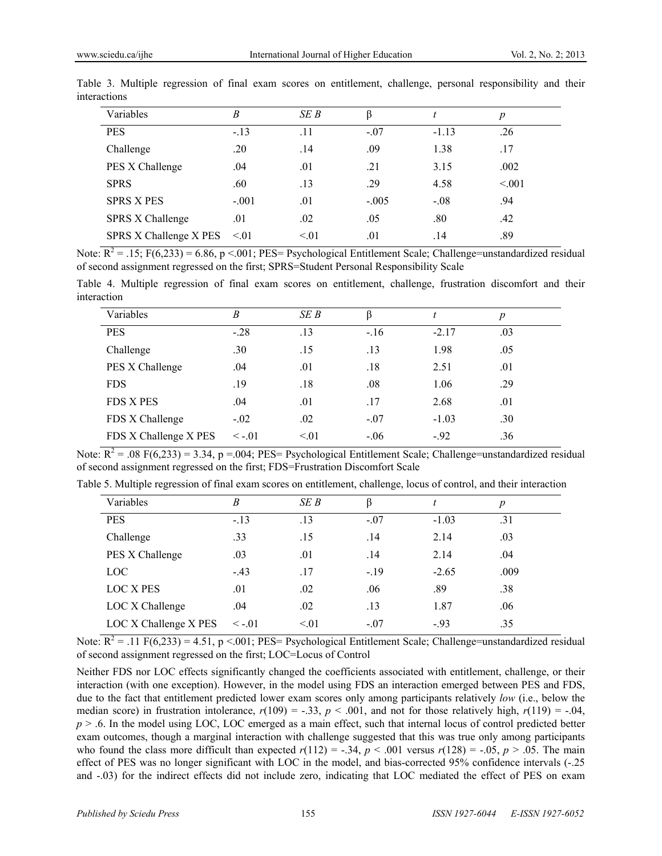| Variables               | B         | SE B | β       |         | $\boldsymbol{p}$ |
|-------------------------|-----------|------|---------|---------|------------------|
| <b>PES</b>              | $-.13$    | .11  | $-.07$  | $-1.13$ | .26              |
| Challenge               | .20       | .14  | .09     | 1.38    | .17              |
| PES X Challenge         | .04       | .01  | .21     | 3.15    | .002             |
| <b>SPRS</b>             | .60       | .13  | .29     | 4.58    | < 0.01           |
| <b>SPRS X PES</b>       | $-.001$   | .01  | $-.005$ | $-.08$  | .94              |
| <b>SPRS X Challenge</b> | .01       | .02  | .05     | .80     | .42              |
| SPRS X Challenge X PES  | $\leq 01$ | < 01 | .01     | .14     | .89              |

Table 3. Multiple regression of final exam scores on entitlement, challenge, personal responsibility and their interactions

Note:  $\overline{R^2}$  = .15; F(6,233) = 6.86, p <.001; PES= Psychological Entitlement Scale; Challenge=unstandardized residual of second assignment regressed on the first; SPRS=Student Personal Responsibility Scale

Table 4. Multiple regression of final exam scores on entitlement, challenge, frustration discomfort and their interaction

| Variables             | B            | SE B      | ß      | t       | $\boldsymbol{p}$ |
|-----------------------|--------------|-----------|--------|---------|------------------|
| <b>PES</b>            | $-.28$       | .13       | $-.16$ | $-2.17$ | .03              |
| Challenge             | .30          | .15       | .13    | 1.98    | .05              |
| PES X Challenge       | .04          | .01       | .18    | 2.51    | .01              |
| <b>FDS</b>            | .19          | .18       | .08    | 1.06    | .29              |
| <b>FDS X PES</b>      | .04          | .01       | .17    | 2.68    | .01              |
| FDS X Challenge       | $-.02$       | .02       | $-.07$ | $-1.03$ | .30              |
| FDS X Challenge X PES | $\leq -0.01$ | $\leq 01$ | $-.06$ | $-92$   | .36              |

Note:  $\overline{R^2}$  = .08 F(6,233) = 3.34, p =.004; PES= Psychological Entitlement Scale; Challenge=unstandardized residual of second assignment regressed on the first; FDS=Frustration Discomfort Scale

| Variables             | B            | SE B | ß      |         | $\boldsymbol{p}$ |
|-----------------------|--------------|------|--------|---------|------------------|
| <b>PES</b>            | $-.13$       | .13  | $-.07$ | $-1.03$ | .31              |
| Challenge             | .33          | .15  | .14    | 2.14    | .03              |
| PES X Challenge       | .03          | .01  | .14    | 2.14    | .04              |
| LOC <sup>1</sup>      | $-43$        | .17  | $-.19$ | $-2.65$ | .009             |
| <b>LOC X PES</b>      | .01          | .02  | .06    | .89     | .38              |
| LOC X Challenge       | .04          | .02  | .13    | 1.87    | .06              |
| LOC X Challenge X PES | $\leq -0.01$ | < 01 | $-.07$ | $-93$   | .35              |

Table 5. Multiple regression of final exam scores on entitlement, challenge, locus of control, and their interaction

Note:  $\overline{R^2}$  = .11 F(6,233) = 4.51, p <.001; PES= Psychological Entitlement Scale; Challenge=unstandardized residual of second assignment regressed on the first; LOC=Locus of Control

Neither FDS nor LOC effects significantly changed the coefficients associated with entitlement, challenge, or their interaction (with one exception). However, in the model using FDS an interaction emerged between PES and FDS, due to the fact that entitlement predicted lower exam scores only among participants relatively *low* (i.e., below the median score) in frustration intolerance,  $r(109) = -.33$ ,  $p < .001$ , and not for those relatively high,  $r(119) = -.04$ , *p* > .6. In the model using LOC, LOC emerged as a main effect, such that internal locus of control predicted better exam outcomes, though a marginal interaction with challenge suggested that this was true only among participants who found the class more difficult than expected  $r(112) = -.34$ ,  $p < .001$  versus  $r(128) = -.05$ ,  $p > .05$ . The main effect of PES was no longer significant with LOC in the model, and bias-corrected 95% confidence intervals (-.25 and -.03) for the indirect effects did not include zero, indicating that LOC mediated the effect of PES on exam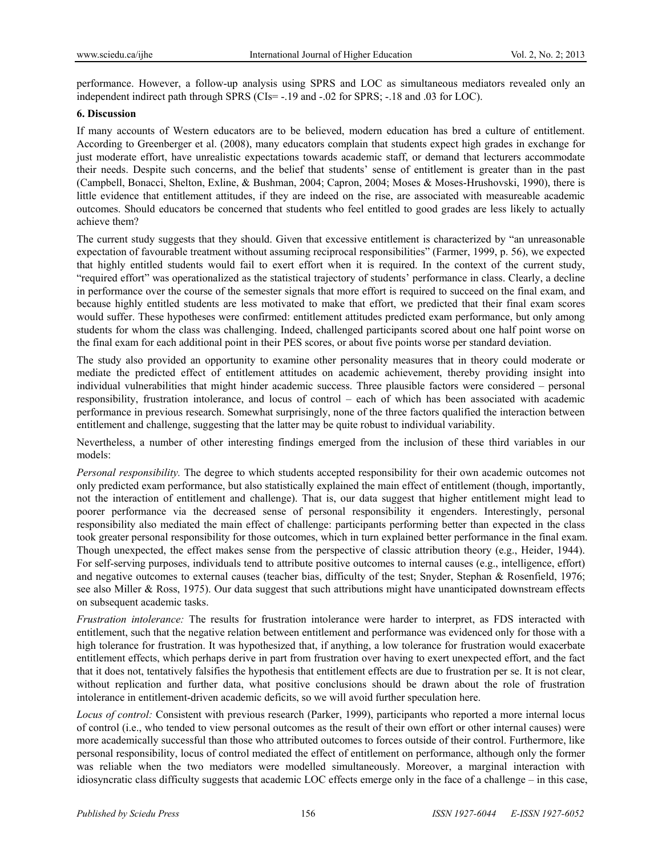performance. However, a follow-up analysis using SPRS and LOC as simultaneous mediators revealed only an independent indirect path through SPRS (CIs= -.19 and -.02 for SPRS; -.18 and .03 for LOC).

#### **6. Discussion**

If many accounts of Western educators are to be believed, modern education has bred a culture of entitlement. According to Greenberger et al. (2008), many educators complain that students expect high grades in exchange for just moderate effort, have unrealistic expectations towards academic staff, or demand that lecturers accommodate their needs. Despite such concerns, and the belief that students' sense of entitlement is greater than in the past (Campbell, Bonacci, Shelton, Exline, & Bushman, 2004; Capron, 2004; Moses & Moses-Hrushovski, 1990), there is little evidence that entitlement attitudes, if they are indeed on the rise, are associated with measureable academic outcomes. Should educators be concerned that students who feel entitled to good grades are less likely to actually achieve them?

The current study suggests that they should. Given that excessive entitlement is characterized by "an unreasonable expectation of favourable treatment without assuming reciprocal responsibilities" (Farmer, 1999, p. 56), we expected that highly entitled students would fail to exert effort when it is required. In the context of the current study, "required effort" was operationalized as the statistical trajectory of students' performance in class. Clearly, a decline in performance over the course of the semester signals that more effort is required to succeed on the final exam, and because highly entitled students are less motivated to make that effort, we predicted that their final exam scores would suffer. These hypotheses were confirmed: entitlement attitudes predicted exam performance, but only among students for whom the class was challenging. Indeed, challenged participants scored about one half point worse on the final exam for each additional point in their PES scores, or about five points worse per standard deviation.

The study also provided an opportunity to examine other personality measures that in theory could moderate or mediate the predicted effect of entitlement attitudes on academic achievement, thereby providing insight into individual vulnerabilities that might hinder academic success. Three plausible factors were considered – personal responsibility, frustration intolerance, and locus of control – each of which has been associated with academic performance in previous research. Somewhat surprisingly, none of the three factors qualified the interaction between entitlement and challenge, suggesting that the latter may be quite robust to individual variability.

Nevertheless, a number of other interesting findings emerged from the inclusion of these third variables in our models:

*Personal responsibility.* The degree to which students accepted responsibility for their own academic outcomes not only predicted exam performance, but also statistically explained the main effect of entitlement (though, importantly, not the interaction of entitlement and challenge). That is, our data suggest that higher entitlement might lead to poorer performance via the decreased sense of personal responsibility it engenders. Interestingly, personal responsibility also mediated the main effect of challenge: participants performing better than expected in the class took greater personal responsibility for those outcomes, which in turn explained better performance in the final exam. Though unexpected, the effect makes sense from the perspective of classic attribution theory (e.g., Heider, 1944). For self-serving purposes, individuals tend to attribute positive outcomes to internal causes (e.g., intelligence, effort) and negative outcomes to external causes (teacher bias, difficulty of the test; Snyder, Stephan & Rosenfield, 1976; see also Miller & Ross, 1975). Our data suggest that such attributions might have unanticipated downstream effects on subsequent academic tasks.

*Frustration intolerance:* The results for frustration intolerance were harder to interpret, as FDS interacted with entitlement, such that the negative relation between entitlement and performance was evidenced only for those with a high tolerance for frustration. It was hypothesized that, if anything, a low tolerance for frustration would exacerbate entitlement effects, which perhaps derive in part from frustration over having to exert unexpected effort, and the fact that it does not, tentatively falsifies the hypothesis that entitlement effects are due to frustration per se. It is not clear, without replication and further data, what positive conclusions should be drawn about the role of frustration intolerance in entitlement-driven academic deficits, so we will avoid further speculation here.

*Locus of control:* Consistent with previous research (Parker, 1999), participants who reported a more internal locus of control (i.e., who tended to view personal outcomes as the result of their own effort or other internal causes) were more academically successful than those who attributed outcomes to forces outside of their control. Furthermore, like personal responsibility, locus of control mediated the effect of entitlement on performance, although only the former was reliable when the two mediators were modelled simultaneously. Moreover, a marginal interaction with idiosyncratic class difficulty suggests that academic LOC effects emerge only in the face of a challenge – in this case,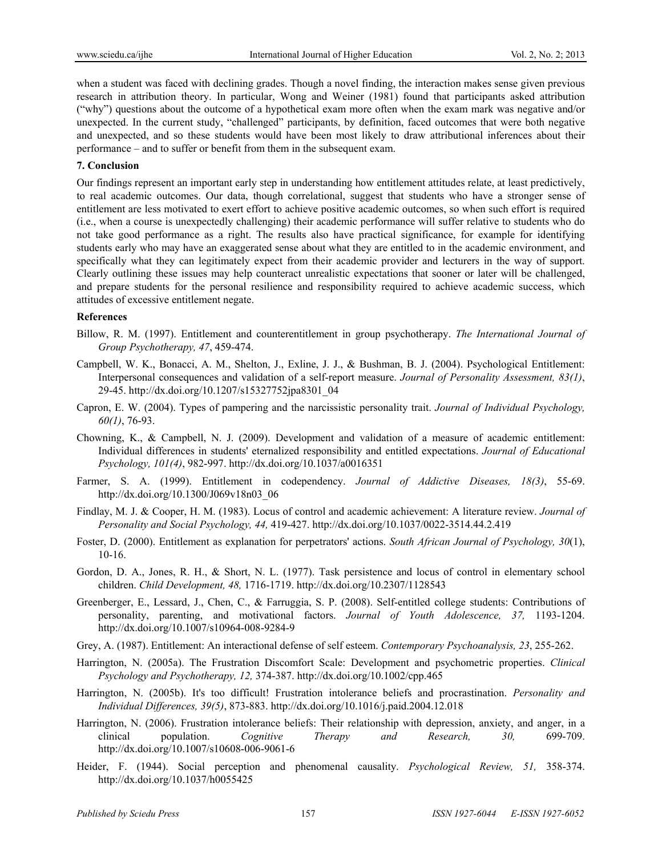when a student was faced with declining grades. Though a novel finding, the interaction makes sense given previous research in attribution theory. In particular, Wong and Weiner (1981) found that participants asked attribution ("why") questions about the outcome of a hypothetical exam more often when the exam mark was negative and/or unexpected. In the current study, "challenged" participants, by definition, faced outcomes that were both negative and unexpected, and so these students would have been most likely to draw attributional inferences about their performance – and to suffer or benefit from them in the subsequent exam.

#### **7. Conclusion**

Our findings represent an important early step in understanding how entitlement attitudes relate, at least predictively, to real academic outcomes. Our data, though correlational, suggest that students who have a stronger sense of entitlement are less motivated to exert effort to achieve positive academic outcomes, so when such effort is required (i.e., when a course is unexpectedly challenging) their academic performance will suffer relative to students who do not take good performance as a right. The results also have practical significance, for example for identifying students early who may have an exaggerated sense about what they are entitled to in the academic environment, and specifically what they can legitimately expect from their academic provider and lecturers in the way of support. Clearly outlining these issues may help counteract unrealistic expectations that sooner or later will be challenged, and prepare students for the personal resilience and responsibility required to achieve academic success, which attitudes of excessive entitlement negate.

#### **References**

- Billow, R. M. (1997). Entitlement and counterentitlement in group psychotherapy. *The International Journal of Group Psychotherapy, 47*, 459-474.
- Campbell, W. K., Bonacci, A. M., Shelton, J., Exline, J. J., & Bushman, B. J. (2004). Psychological Entitlement: Interpersonal consequences and validation of a self-report measure. *Journal of Personality Assessment, 83(1)*, 29-45. http://dx.doi.org/10.1207/s15327752jpa8301\_04
- Capron, E. W. (2004). Types of pampering and the narcissistic personality trait. *Journal of Individual Psychology, 60(1)*, 76-93.
- Chowning, K., & Campbell, N. J. (2009). Development and validation of a measure of academic entitlement: Individual differences in students' eternalized responsibility and entitled expectations. *Journal of Educational Psychology, 101(4)*, 982-997. http://dx.doi.org/10.1037/a0016351
- Farmer, S. A. (1999). Entitlement in codependency. *Journal of Addictive Diseases, 18(3)*, 55-69. http://dx.doi.org/10.1300/J069v18n03\_06
- Findlay, M. J. & Cooper, H. M. (1983). Locus of control and academic achievement: A literature review. *Journal of Personality and Social Psychology, 44,* 419-427. http://dx.doi.org/10.1037/0022-3514.44.2.419
- Foster, D. (2000). Entitlement as explanation for perpetrators' actions. *South African Journal of Psychology, 30*(1), 10-16.
- Gordon, D. A., Jones, R. H., & Short, N. L. (1977). Task persistence and locus of control in elementary school children. *Child Development, 48,* 1716-1719. http://dx.doi.org/10.2307/1128543
- Greenberger, E., Lessard, J., Chen, C., & Farruggia, S. P. (2008). Self-entitled college students: Contributions of personality, parenting, and motivational factors. *Journal of Youth Adolescence, 37,* 1193-1204. http://dx.doi.org/10.1007/s10964-008-9284-9
- Grey, A. (1987). Entitlement: An interactional defense of self esteem. *Contemporary Psychoanalysis, 23*, 255-262.
- Harrington, N. (2005a). The Frustration Discomfort Scale: Development and psychometric properties. *Clinical Psychology and Psychotherapy, 12,* 374-387. http://dx.doi.org/10.1002/cpp.465
- Harrington, N. (2005b). It's too difficult! Frustration intolerance beliefs and procrastination. *Personality and Individual Differences, 39(5)*, 873-883. http://dx.doi.org/10.1016/j.paid.2004.12.018
- Harrington, N. (2006). Frustration intolerance beliefs: Their relationship with depression, anxiety, and anger, in a clinical population. *Cognitive Therapy and Research, 30,* 699-709. http://dx.doi.org/10.1007/s10608-006-9061-6
- Heider, F. (1944). Social perception and phenomenal causality. *Psychological Review, 51,* 358-374. http://dx.doi.org/10.1037/h0055425